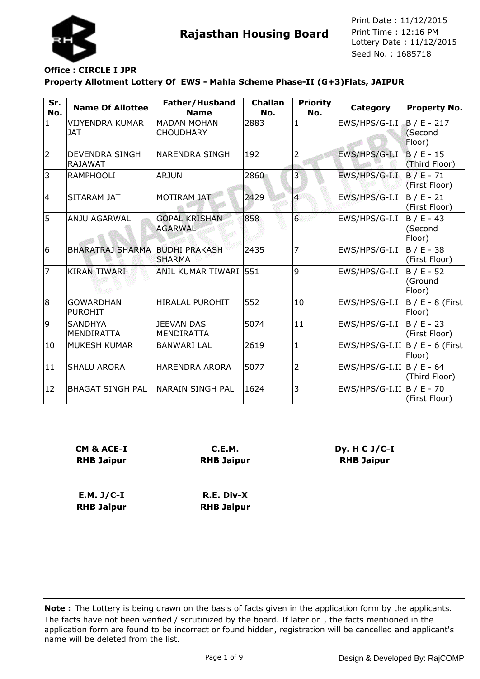

#### **Property Allotment Lottery Of EWS - Mahla Scheme Phase-II (G+3)Flats, JAIPUR Office : CIRCLE I JPR**

| Sr.<br>No.     | <b>Name Of Allottee</b>                 | Father/Husband<br><b>Name</b>          | <b>Challan</b><br>No. | <b>Priority</b><br>No. | Category                           | Property No.                       |
|----------------|-----------------------------------------|----------------------------------------|-----------------------|------------------------|------------------------------------|------------------------------------|
| $\mathbf{1}$   | <b>VIJYENDRA KUMAR</b><br><b>JAT</b>    | <b>MADAN MOHAN</b><br><b>CHOUDHARY</b> | 2883                  | $\mathbf{1}$           | EWS/HPS/G-I.I                      | $B / E - 217$<br>(Second<br>Floor) |
| $\overline{2}$ | <b>DEVENDRA SINGH</b><br><b>RAJAWAT</b> | <b>NARENDRA SINGH</b>                  | 192                   | 2                      | EWS/HPS/G-I.I                      | $B / E - 15$<br>(Third Floor)      |
| $\overline{3}$ | <b>RAMPHOOLI</b>                        | <b>ARJUN</b>                           | 2860                  | 3                      | EWS/HPS/G-I.I                      | $B / E - 71$<br>(First Floor)      |
| 4              | SITARAM JAT                             | <b>MOTIRAM JAT</b>                     | 2429                  | $\overline{4}$         | EWS/HPS/G-I.I                      | $B/E - 21$<br>(First Floor)        |
| 5              | <b>ANJU AGARWAL</b>                     | <b>GOPAL KRISHAN</b><br><b>AGARWAL</b> | 858                   | $6\overline{6}$        | EWS/HPS/G-I.I                      | $B / E - 43$<br>(Second<br>Floor)  |
| 6              | <b>BHARATRAJ SHARMA</b>                 | <b>BUDHI PRAKASH</b><br><b>SHARMA</b>  | 2435                  | 7                      | EWS/HPS/G-I.I                      | $B / E - 38$<br>(First Floor)      |
| $\overline{7}$ | <b>KIRAN TIWARI</b>                     | ANIL KUMAR TIWARI  551                 |                       | 9                      | EWS/HPS/G-I.I                      | $B / E - 52$<br>(Ground<br>Floor)  |
| 8              | <b>GOWARDHAN</b><br><b>PUROHIT</b>      | <b>HIRALAL PUROHIT</b>                 | 552                   | 10                     | EWS/HPS/G-I.I                      | $B / E - 8$ (First<br>Floor)       |
| 9              | <b>SANDHYA</b><br><b>MENDIRATTA</b>     | <b>JEEVAN DAS</b><br><b>MENDIRATTA</b> | 5074                  | 11                     | EWS/HPS/G-I.I                      | B / E - 23<br>(First Floor)        |
| 10             | <b>MUKESH KUMAR</b>                     | <b>BANWARI LAL</b>                     | 2619                  | $\mathbf{1}$           | EWS/HPS/G-I.II $ B / E - 6$ (First | Floor)                             |
| 11             | <b>SHALU ARORA</b>                      | <b>HARENDRA ARORA</b>                  | 5077                  | $\overline{2}$         | EWS/HPS/G-I.II $\vert$ B / E - 64  | (Third Floor)                      |
| 12             | <b>BHAGAT SINGH PAL</b>                 | NARAIN SINGH PAL                       | 1624                  | 3                      | EWS/HPS/G-I.II $\vert$ B / E - 70  | (First Floor)                      |

| CM & ACE-I        | C.E.M.            |
|-------------------|-------------------|
| <b>RHB Jaipur</b> | <b>RHB Jaipur</b> |
|                   |                   |
| E.M. J/C-I        | R.E. Div-X        |

**Dy. H C J/C-I RHB Jaipur**

**RHB Jaipur**

**RHB Jaipur**

The facts have not been verified / scrutinized by the board. If later on , the facts mentioned in the application form are found to be incorrect or found hidden, registration will be cancelled and applicant's name will be deleted from the list. **Note :** The Lottery is being drawn on the basis of facts given in the application form by the applicants.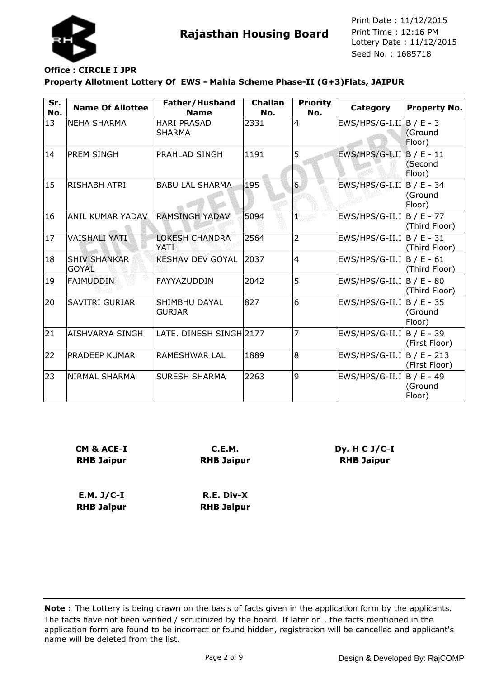

## **Office : CIRCLE I JPR**

**Property Allotment Lottery Of EWS - Mahla Scheme Phase-II (G+3)Flats, JAIPUR**

| Sr.<br>No. | <b>Name Of Allottee</b>             | Father/Husband<br><b>Name</b>        | <b>Challan</b><br>No. | <b>Priority</b><br>No. | Category                          | <b>Property No.</b> |
|------------|-------------------------------------|--------------------------------------|-----------------------|------------------------|-----------------------------------|---------------------|
| 13         | <b>NEHA SHARMA</b>                  | <b>HARI PRASAD</b><br><b>SHARMA</b>  | 2331                  | $\overline{4}$         | $EWS/HPS/G-I.II$ $B / E - 3$      | (Ground<br>Floor)   |
| 14         | <b>PREM SINGH</b>                   | PRAHLAD SINGH                        | 1191                  | 5                      | $EWS/HPS/G-I.II$ $B / E - 11$     | (Second<br>Floor)   |
| 15         | <b>RISHABH ATRI</b>                 | <b>BABU LAL SHARMA</b>               | 195                   | 6                      | EWS/HPS/G-I.II $\vert$ B / E - 34 | (Ground<br>Floor)   |
| 16         | <b>ANIL KUMAR YADAV</b>             | <b>RAMSINGH YADAV</b>                | 5094                  | Ŧ,                     | EWS/HPS/G-II.I  B / E - 77        | (Third Floor)       |
| 17         | <b>VAISHALI YATI</b>                | <b>LOKESH CHANDRA</b><br><b>YATI</b> | 2564                  | $\overline{2}$         | $EWS/HPS/G-II.I$  B / E - 31      | (Third Floor)       |
| 18         | <b>SHIV SHANKAR</b><br><b>GOYAL</b> | <b>KESHAV DEV GOYAL</b>              | 2037                  | $\overline{4}$         | EWS/HPS/G-II.I $\vert$ B / E - 61 | (Third Floor)       |
| 19         | <b>FAIMUDDIN</b>                    | FAYYAZUDDIN                          | 2042                  | 5                      | $EWS/HPS/G-III.I$  B / E - 80     | (Third Floor)       |
| 20         | <b>SAVITRI GURJAR</b>               | SHIMBHU DAYAL<br><b>GURJAR</b>       | 827                   | 6                      | EWS/HPS/G-II.I  B / E - 35        | (Ground<br>Floor)   |
| 21         | AISHVARYA SINGH                     | LATE. DINESH SINGH 2177              |                       | 7                      | EWS/HPS/G-II.I  B / E - 39        | (First Floor)       |
| 22         | PRADEEP KUMAR                       | <b>RAMESHWAR LAL</b>                 | 1889                  | 8                      | $EWS/HPS/G-II.I$  B / E - 213     | (First Floor)       |
| 23         | NIRMAL SHARMA                       | <b>SURESH SHARMA</b>                 | 2263                  | 9                      | EWS/HPS/G-II.I  B / E - 49        | (Ground<br>Floor)   |

| CM & ACE-I        | C.E.M.            |
|-------------------|-------------------|
| <b>RHB Jaipur</b> | <b>RHB Jaipur</b> |
|                   |                   |
| E.M. J/C-I        | R.E. Div-X        |
| <b>RHB Jaipur</b> | <b>RHB Jaipur</b> |

The facts have not been verified / scrutinized by the board. If later on , the facts mentioned in the application form are found to be incorrect or found hidden, registration will be cancelled and applicant's name will be deleted from the list. **Note :** The Lottery is being drawn on the basis of facts given in the application form by the applicants.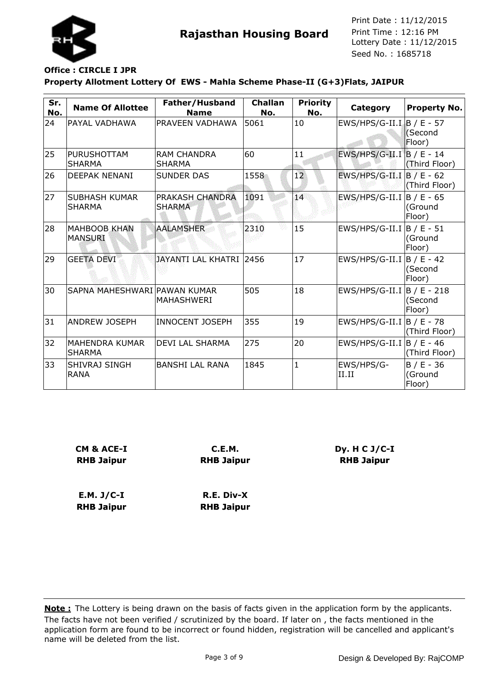

## **Office : CIRCLE I JPR**

**Property Allotment Lottery Of EWS - Mahla Scheme Phase-II (G+3)Flats, JAIPUR**

| Sr.<br>No. | <b>Name Of Allottee</b>                | Father/Husband<br><b>Name</b>       | <b>Challan</b><br>No. | <b>Priority</b><br>No. | Category                          | <b>Property No.</b>               |
|------------|----------------------------------------|-------------------------------------|-----------------------|------------------------|-----------------------------------|-----------------------------------|
| 24         | PAYAL VADHAWA                          | <b>PRAVEEN VADHAWA</b>              | 5061                  | 10                     | $EWS/HPS/G-II.I$ $B / E - 57$     | (Second<br>Floor)                 |
| 25         | <b>PURUSHOTTAM</b><br><b>SHARMA</b>    | <b>RAM CHANDRA</b><br><b>SHARMA</b> | 60                    | 11                     | $EWS/HPS/G-II.I$ B / E - 14       | (Third Floor)                     |
| 26         | <b>DEEPAK NENANI</b>                   | <b>SUNDER DAS</b>                   | 1558                  | 12                     | EWS/HPS/G-II.I $\vert$ B / E - 62 | (Third Floor)                     |
| 27         | <b>SUBHASH KUMAR</b><br><b>SHARMA</b>  | PRAKASH CHANDRA<br><b>SHARMA</b>    | 1091                  | 14                     | EWS/HPS/G-II.I  B / E - 65        | (Ground<br>Floor)                 |
| 28         | <b>MAHBOOB KHAN</b><br><b>MANSURI</b>  | <b>AALAMSHER</b>                    | 2310                  | 15                     | EWS/HPS/G-II.I  B / E - 51        | (Ground<br>Floor)                 |
| 29         | <b>GEETA DEVI</b>                      | JAYANTI LAL KHATRI 2456             |                       | 17                     | EWS/HPS/G-II.I  B / E - 42        | (Second<br>Floor)                 |
| 30         | SAPNA MAHESHWARI PAWAN KUMAR           | MAHASHWERI                          | 505                   | 18                     | EWS/HPS/G-II.I  B / E - 218       | (Second<br>Floor)                 |
| 31         | <b>ANDREW JOSEPH</b>                   | <b>INNOCENT JOSEPH</b>              | 355                   | 19                     | $EWS/HPS/G-II.I$  B / E - 78      | (Third Floor)                     |
| 32         | <b>MAHENDRA KUMAR</b><br><b>SHARMA</b> | <b>DEVI LAL SHARMA</b>              | 275                   | 20                     | $EWS/HPS/G-II.I$  B / E - 46      | (Third Floor)                     |
| 33         | SHIVRAJ SINGH<br><b>RANA</b>           | <b>BANSHI LAL RANA</b>              | 1845                  | $\mathbf{1}$           | EWS/HPS/G-<br>II.II               | $B / E - 36$<br>(Ground<br>Floor) |

| CM & ACE-I        | C.E.M.            |  |
|-------------------|-------------------|--|
| <b>RHB Jaipur</b> | <b>RHB Jaipur</b> |  |
| E.M. J/C-I        | R.E. Div-X        |  |
| <b>RHB Jaipur</b> | <b>RHB Jaipur</b> |  |

The facts have not been verified / scrutinized by the board. If later on , the facts mentioned in the application form are found to be incorrect or found hidden, registration will be cancelled and applicant's name will be deleted from the list. **Note :** The Lottery is being drawn on the basis of facts given in the application form by the applicants.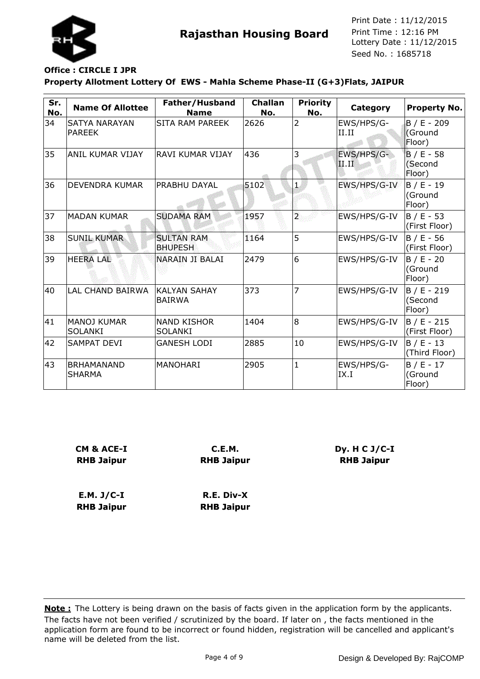

# **Office : CIRCLE I JPR**

**Property Allotment Lottery Of EWS - Mahla Scheme Phase-II (G+3)Flats, JAIPUR**

| Sr.<br>No. | <b>Name Of Allottee</b>               | Father/Husband<br><b>Name</b>        | <b>Challan</b><br>No. | <b>Priority</b><br>No. | Category            | <b>Property No.</b>                          |
|------------|---------------------------------------|--------------------------------------|-----------------------|------------------------|---------------------|----------------------------------------------|
| 34         | <b>SATYA NARAYAN</b><br><b>PAREEK</b> | SITA RAM PAREEK                      | 2626                  | $\overline{2}$         | EWS/HPS/G-<br>II.II | $B / E - 209$<br>(Ground<br>Floor)           |
| 35         | ANIL KUMAR VIJAY                      | RAVI KUMAR VIJAY                     | 436                   | 3                      | EWS/HPS/G-<br>II.II | $B / E - 58$<br>(Second<br>Floor)            |
| 36         | DEVENDRA KUMAR                        | <b>PRABHU DAYAL</b>                  | 5102                  | $\mathbf{1}$           | EWS/HPS/G-IV        | $\overline{B}$ / E - 19<br>(Ground<br>Floor) |
| 37         | <b>MADAN KUMAR</b>                    | <b>SUDAMA RAM</b>                    | 1957                  | $\overline{2}$         | EWS/HPS/G-IV        | $B / E - 53$<br>(First Floor)                |
| 38         | <b>SUNIL KUMAR</b>                    | <b>SULTAN RAM</b><br><b>BHUPESH</b>  | 1164                  | 5                      | EWS/HPS/G-IV        | $B / E - 56$<br>(First Floor)                |
| 39         | <b>HEERA LAL</b>                      | NARAIN JI BALAI                      | 2479                  | 6                      | EWS/HPS/G-IV        | $B / E - 20$<br>(Ground<br>Floor)            |
| 40         | <b>LAL CHAND BAIRWA</b>               | <b>KALYAN SAHAY</b><br><b>BAIRWA</b> | 373                   | 7                      | EWS/HPS/G-IV        | $B / E - 219$<br>(Second<br>Floor)           |
| 41         | MANOJ KUMAR<br><b>SOLANKI</b>         | <b>NAND KISHOR</b><br><b>SOLANKI</b> | 1404                  | 8                      | EWS/HPS/G-IV        | $B / E - 215$<br>(First Floor)               |
| 42         | SAMPAT DEVI                           | <b>GANESH LODI</b>                   | 2885                  | 10                     | EWS/HPS/G-IV        | $B / E - 13$<br>(Third Floor)                |
| 43         | <b>BRHAMANAND</b><br><b>SHARMA</b>    | <b>MANOHARI</b>                      | 2905                  | $\mathbf{1}$           | EWS/HPS/G-<br>IX.I  | $B / E - 17$<br>(Ground<br>Floor)            |

| <b>CM &amp; ACE-I</b> | C.E.M.            |  |
|-----------------------|-------------------|--|
| <b>RHB Jaipur</b>     | <b>RHB Jaipur</b> |  |
| $E.M. J/C-I$          | R.E. Div-X        |  |
| <b>RHB Jaipur</b>     | <b>RHB Jaipur</b> |  |

The facts have not been verified / scrutinized by the board. If later on , the facts mentioned in the application form are found to be incorrect or found hidden, registration will be cancelled and applicant's name will be deleted from the list. **Note :** The Lottery is being drawn on the basis of facts given in the application form by the applicants.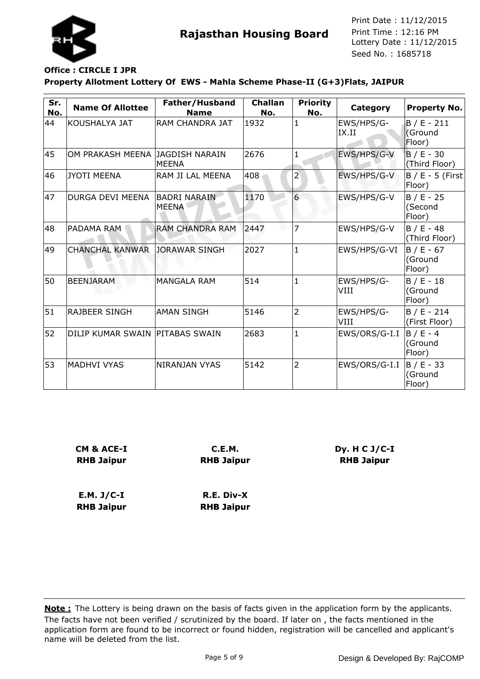

# **Office : CIRCLE I JPR**

**Property Allotment Lottery Of EWS - Mahla Scheme Phase-II (G+3)Flats, JAIPUR**

| Sr.<br>No. | <b>Name Of Allottee</b>         | Father/Husband<br><b>Name</b> | <b>Challan</b><br>No. | <b>Priority</b><br>No. | Category            | <b>Property No.</b>                |
|------------|---------------------------------|-------------------------------|-----------------------|------------------------|---------------------|------------------------------------|
| 44         | KOUSHALYA JAT                   | <b>RAM CHANDRA JAT</b>        | 1932                  | $\mathbf{1}$           | EWS/HPS/G-<br>IX.II | $B / E - 211$<br>(Ground<br>Floor) |
| 45         | OM PRAKASH MEENA JAGDISH NARAIN | IMEENA                        | 2676                  | 1                      | EWS/HPS/G-V         | $B / E - 30$<br>(Third Floor)      |
| 46         | JYOTI MEENA                     | RAM JI LAL MEENA              | 408                   | 2                      | EWS/HPS/G-V         | $B / E - 5$ (First<br>Floor)       |
| 47         | <b>DURGA DEVI MEENA</b>         | IBADRI NARAIN<br><b>MEENA</b> | 1170                  | $6 \overline{}$        | EWS/HPS/G-V         | $B / E - 25$<br>(Second<br>Floor)  |
| 48         | PADAMA RAM                      | <b>RAM CHANDRA RAM</b>        | 2447                  | 7                      | EWS/HPS/G-V         | $B / E - 48$<br>(Third Floor)      |
| 49         | <b>CHANCHAL KANWAR</b>          | <b>JORAWAR SINGH</b>          | 2027                  | $\mathbf{1}$           | EWS/HPS/G-VI        | $B / E - 67$<br>(Ground<br>Floor)  |
| 50         | <b>BEENJARAM</b>                | <b>MANGALA RAM</b>            | 514                   | $\mathbf{1}$           | EWS/HPS/G-<br>VIII  | $B / E - 18$<br>(Ground<br>Floor)  |
| 51         | <b>RAJBEER SINGH</b>            | <b>AMAN SINGH</b>             | 5146                  | $\overline{2}$         | EWS/HPS/G-<br>VIII  | $B / E - 214$<br>(First Floor)     |
| 52         | DILIP KUMAR SWAIN PITABAS SWAIN |                               | 2683                  | $\mathbf{1}$           | EWS/ORS/G-I.I       | $B / E - 4$<br>(Ground<br>Floor)   |
| 53         | <b>MADHVI VYAS</b>              | <b>NIRANJAN VYAS</b>          | 5142                  | $\overline{2}$         | EWS/ORS/G-I.I       | $B / E - 33$<br>(Ground<br>Floor)  |

| <b>CM &amp; ACE-I</b><br><b>RHB Jaipur</b> | C.E.M.<br><b>RHB Jaipur</b> |  |  |
|--------------------------------------------|-----------------------------|--|--|
|                                            |                             |  |  |
| $E.M. J/C-I$                               | R.E. Div-X                  |  |  |
| <b>RHB Jaipur</b>                          | <b>RHB Jaipur</b>           |  |  |

The facts have not been verified / scrutinized by the board. If later on , the facts mentioned in the application form are found to be incorrect or found hidden, registration will be cancelled and applicant's name will be deleted from the list. **Note :** The Lottery is being drawn on the basis of facts given in the application form by the applicants.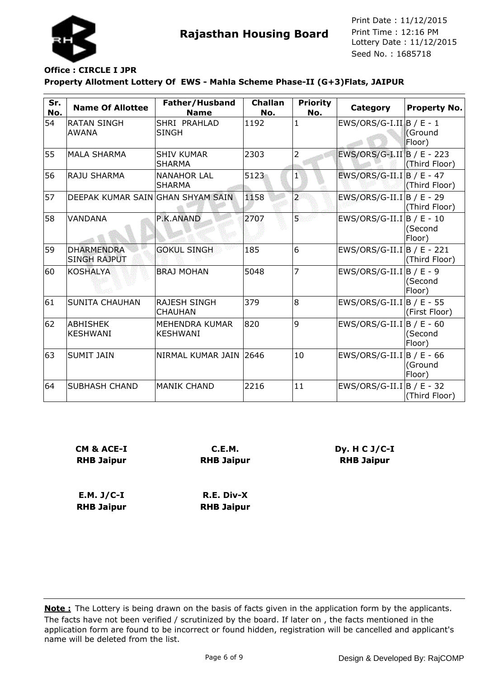

#### **Property Allotment Lottery Of EWS - Mahla Scheme Phase-II (G+3)Flats, JAIPUR Office : CIRCLE I JPR**

| Sr.<br>No. | <b>Name Of Allottee</b>                  | Father/Husband<br><b>Name</b>         | <b>Challan</b><br>No. | <b>Priority</b><br>No. | Category                               | <b>Property No.</b> |
|------------|------------------------------------------|---------------------------------------|-----------------------|------------------------|----------------------------------------|---------------------|
| 54         | <b>RATAN SINGH</b><br><b>AWANA</b>       | SHRI PRAHLAD<br><b>SINGH</b>          | 1192                  | $\mathbf{1}$           | EWS/ORS/G-I.II $\vert B \vert / E - 1$ | (Ground<br>Floor)   |
| 55         | IMALA SHARMA                             | <b>SHIV KUMAR</b><br><b>SHARMA</b>    | 2303                  | 2                      | EWS/ORS/G-I.II B / E - 223             | (Third Floor)       |
| 56         | <b>RAJU SHARMA</b>                       | <b>NANAHOR LAL</b><br><b>SHARMA</b>   | 5123                  | $\mathbf{1}$           | EWS/ORS/G-II.I B / E - 47              | (Third Floor)       |
| 57         | DEEPAK KUMAR SAIN GHAN SHYAM SAIN        |                                       | 1158                  | $\overline{a}$         | EWS/ORS/G-II.I   B / E - 29            | (Third Floor)       |
| 58         | VANDANA                                  | P.K.ANAND                             | 2707                  | 5                      | EWS/ORS/G-II.I $ B / E - 10$           | (Second<br>Floor)   |
| 59         | <b>DHARMENDRA</b><br><b>SINGH RAJPUT</b> | <b>GOKUL SINGH</b>                    | 185                   | 6                      | EWS/ORS/G-II.I B / E - 221             | (Third Floor)       |
| 60         | <b>KOSHALYA</b>                          | <b>BRAJ MOHAN</b>                     | 5048                  | $\overline{7}$         | EWS/ORS/G-II.I   B / E - 9             | (Second<br>Floor)   |
| 61         | <b>SUNITA CHAUHAN</b>                    | <b>RAJESH SINGH</b><br><b>CHAUHAN</b> | 379                   | 8                      | EWS/ORS/G-II.I B / E - 55              | (First Floor)       |
| 62         | ABHISHEK<br><b>KESHWANI</b>              | MEHENDRA KUMAR<br><b>KESHWANI</b>     | 820                   | 9                      | EWS/ORS/G-II.I $ B / E - 60$           | (Second<br>Floor)   |
| 63         | <b>SUMIT JAIN</b>                        | NIRMAL KUMAR JAIN 2646                |                       | 10                     | EWS/ORS/G-II.I B / E - 66              | (Ground<br>Floor)   |
| 64         | <b>SUBHASH CHAND</b>                     | <b>MANIK CHAND</b>                    | 2216                  | 11                     | EWS/ORS/G-II.I B / E - 32              | (Third Floor)       |

| CM & ACE-I        | C.E.M.            |
|-------------------|-------------------|
| <b>RHB Jaipur</b> | <b>RHB Jaipur</b> |
| $E.M. J/C-I$      | R.E. Div-X        |
| <b>RHB Jaipur</b> | <b>RHB Jaipur</b> |

**Dy. H C J/C-I RHB Jaipur**

The facts have not been verified / scrutinized by the board. If later on , the facts mentioned in the application form are found to be incorrect or found hidden, registration will be cancelled and applicant's name will be deleted from the list. **Note :** The Lottery is being drawn on the basis of facts given in the application form by the applicants.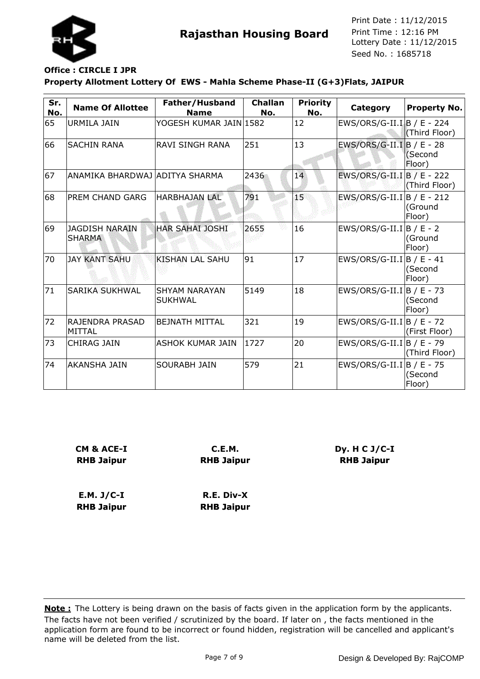

### **Office : CIRCLE I JPR**

**RHB Jaipur**

#### **Property Allotment Lottery Of EWS - Mahla Scheme Phase-II (G+3)Flats, JAIPUR**

| Sr.<br>No. | <b>Name Of Allottee</b>                | Father/Husband<br><b>Name</b>          | <b>Challan</b><br>No. | <b>Priority</b><br>No. | Category                   | <b>Property No.</b> |
|------------|----------------------------------------|----------------------------------------|-----------------------|------------------------|----------------------------|---------------------|
| 65         | URMILA JAIN                            | YOGESH KUMAR JAIN 1582                 |                       | 12                     | EWS/ORS/G-II.I B / E - 224 | (Third Floor)       |
| 66         | <b>SACHIN RANA</b>                     | RAVI SINGH RANA                        | 251                   | 13                     | EWS/ORS/G-II.I B / E - 28  | (Second<br>Floor)   |
| 67         | ANAMIKA BHARDWAJ  ADITYA SHARMA        |                                        | 2436                  | 14                     | EWS/ORS/G-II.I B / E - 222 | (Third Floor)       |
| 68         | <b>PREM CHAND GARG</b>                 | HARBHAJAN LAL                          | 791                   | $15^{\circ}$           | EWS/ORS/G-II.I B / E - 212 | (Ground<br>Floor)   |
| 69         | <b>JAGDISH NARAIN</b><br><b>SHARMA</b> | <b>HAR SAHAI JOSHI</b>                 | 2655                  | 16                     | EWS/ORS/G-II.I B / E - 2   | (Ground<br>Floor)   |
| 70         | <b>JAY KANT SAHU</b>                   | <b>KISHAN LAL SAHU</b>                 | 91                    | 17                     | EWS/ORS/G-II.I B / E - 41  | (Second<br>Floor)   |
| 71         | <b>SARIKA SUKHWAL</b>                  | <b>SHYAM NARAYAN</b><br><b>SUKHWAL</b> | 5149                  | 18                     | EWS/ORS/G-II.I B / E - 73  | (Second<br>Floor)   |
| 72         | RAJENDRA PRASAD<br><b>MITTAL</b>       | <b>BEJNATH MITTAL</b>                  | 321                   | 19                     | EWS/ORS/G-II.I B / E - 72  | (First Floor)       |
| 73         | <b>CHIRAG JAIN</b>                     | <b>ASHOK KUMAR JAIN</b>                | 1727                  | 20                     | EWS/ORS/G-II.I B / E - 79  | (Third Floor)       |
| 74         | lakansha jain                          | <b>SOURABH JAIN</b>                    | 579                   | 21                     | EWS/ORS/G-II.I B / E - 75  | (Second<br>Floor)   |

| CM & ACE-I        | C.E.M.            |  |
|-------------------|-------------------|--|
| <b>RHB Jaipur</b> | <b>RHB Jaipur</b> |  |
|                   |                   |  |
|                   |                   |  |
| $E.M. J/C-I$      | R.E. Div-X        |  |

The facts have not been verified / scrutinized by the board. If later on , the facts mentioned in the application form are found to be incorrect or found hidden, registration will be cancelled and applicant's name will be deleted from the list. **Note :** The Lottery is being drawn on the basis of facts given in the application form by the applicants.

**RHB Jaipur**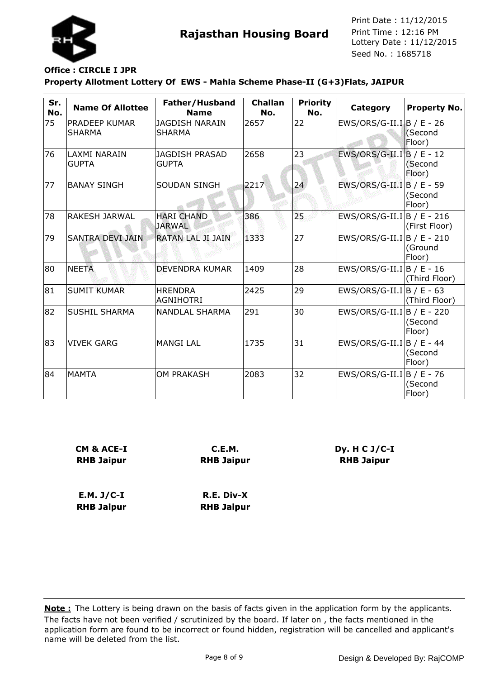

# **Office : CIRCLE I JPR**

**Property Allotment Lottery Of EWS - Mahla Scheme Phase-II (G+3)Flats, JAIPUR**

| Sr.<br>No. | <b>Name Of Allottee</b>        | Father/Husband<br><b>Name</b>          | <b>Challan</b><br>No. | <b>Priority</b><br>No. | Category                     | <b>Property No.</b> |
|------------|--------------------------------|----------------------------------------|-----------------------|------------------------|------------------------------|---------------------|
| 75         | PRADEEP KUMAR<br><b>SHARMA</b> | <b>JAGDISH NARAIN</b><br><b>SHARMA</b> | 2657                  | 22                     | EWS/ORS/G-II.I B / E - 26    | (Second<br>Floor)   |
| 76         | LAXMI NARAIN<br><b>GUPTA</b>   | <b>JAGDISH PRASAD</b><br><b>GUPTA</b>  | 2658                  | 23                     | EWS/ORS/G-II.I B / E - 12    | (Second<br>Floor)   |
| 77         | <b>BANAY SINGH</b>             | <b>SOUDAN SINGH</b>                    | 2217                  | 24                     | EWS/ORS/G-II.I B / E - 59    | (Second<br>Floor)   |
| 78         | <b>RAKESH JARWAL</b>           | <b>HARI CHAND</b><br><b>JARWAL</b>     | 386                   | 25                     | EWS/ORS/G-II.I B / E - 216   | (First Floor)       |
| 79         | <b>SANTRA DEVI JAIN</b>        | <b>RATAN LAL JI JAIN</b>               | 1333                  | 27                     | $EWS/ORS/G-II.I B / E - 210$ | (Ground<br>Floor)   |
| 80         | <b>NEETA</b>                   | <b>DEVENDRA KUMAR</b>                  | 1409                  | 28                     | EWS/ORS/G-II.I   B / E - 16  | (Third Floor)       |
| 81         | <b>SUMIT KUMAR</b>             | <b>HRENDRA</b><br><b>AGNIHOTRI</b>     | 2425                  | 29                     | EWS/ORS/G-II.I B / E - 63    | (Third Floor)       |
| 82         | <b>SUSHIL SHARMA</b>           | NANDLAL SHARMA                         | 291                   | 30                     | EWS/ORS/G-II.I B / E - 220   | (Second<br>Floor)   |
| 83         | <b>VIVEK GARG</b>              | <b>MANGI LAL</b>                       | 1735                  | 31                     | $EWS/ORS/G-II.I B / E - 44$  | (Second<br>Floor)   |
| 84         | <b>MAMTA</b>                   | <b>OM PRAKASH</b>                      | 2083                  | 32                     | EWS/ORS/G-II.I B / E - 76    | (Second<br>Floor)   |

| CM & ACE-I<br><b>RHB Jaipur</b> | C.E.M.<br><b>RHB Jaipur</b> |  |  |  |
|---------------------------------|-----------------------------|--|--|--|
| $E.M. J/C-I$                    | R.E. Div-X                  |  |  |  |
| <b>RHB Jaipur</b>               | <b>RHB Jaipur</b>           |  |  |  |

The facts have not been verified / scrutinized by the board. If later on , the facts mentioned in the application form are found to be incorrect or found hidden, registration will be cancelled and applicant's name will be deleted from the list. **Note :** The Lottery is being drawn on the basis of facts given in the application form by the applicants.